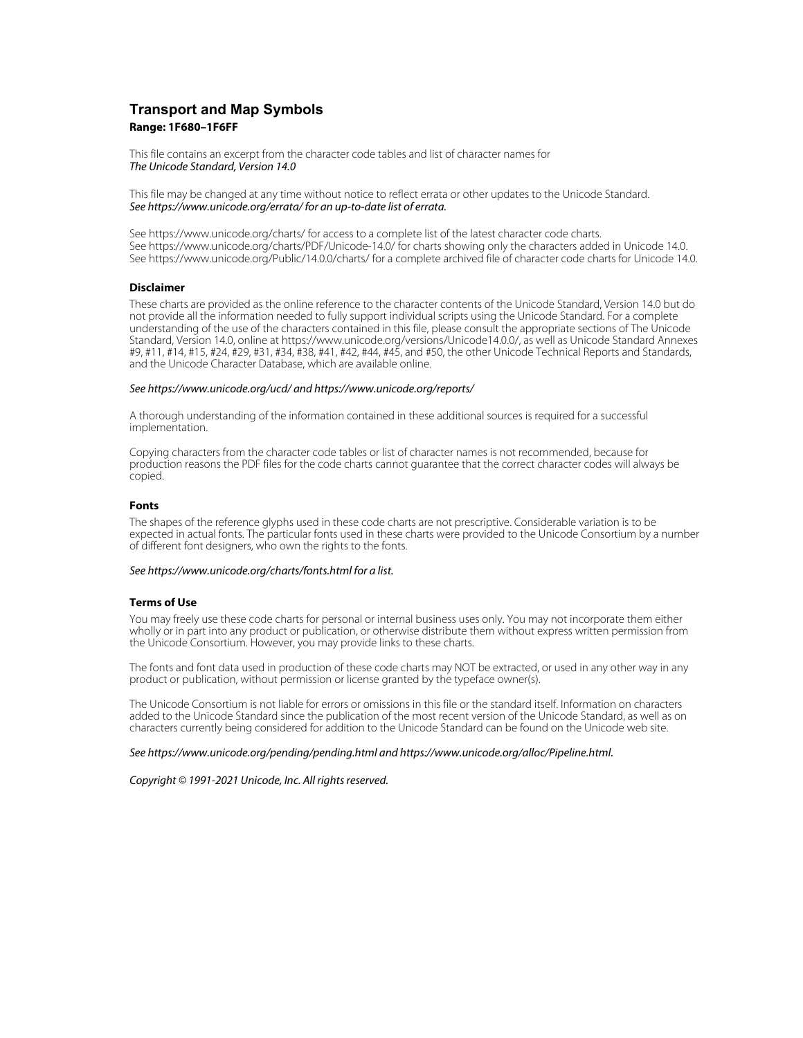# **Transport and Map Symbols Range: 1F680–1F6FF**

This file contains an excerpt from the character code tables and list of character names for The Unicode Standard, Version 14.0

This file may be changed at any time without notice to reflect errata or other updates to the Unicode Standard. See https://www.unicode.org/errata/ for an up-to-date list of errata.

See https://www.unicode.org/charts/ for access to a complete list of the latest character code charts. See https://www.unicode.org/charts/PDF/Unicode-14.0/ for charts showing only the characters added in Unicode 14.0. See https://www.unicode.org/Public/14.0.0/charts/ for a complete archived file of character code charts for Unicode 14.0.

# **Disclaimer**

These charts are provided as the online reference to the character contents of the Unicode Standard, Version 14.0 but do not provide all the information needed to fully support individual scripts using the Unicode Standard. For a complete understanding of the use of the characters contained in this file, please consult the appropriate sections of The Unicode Standard, Version 14.0, online at https://www.unicode.org/versions/Unicode14.0.0/, as well as Unicode Standard Annexes #9, #11, #14, #15, #24, #29, #31, #34, #38, #41, #42, #44, #45, and #50, the other Unicode Technical Reports and Standards, and the Unicode Character Database, which are available online.

### See https://www.unicode.org/ucd/ and https://www.unicode.org/reports/

A thorough understanding of the information contained in these additional sources is required for a successful implementation.

Copying characters from the character code tables or list of character names is not recommended, because for production reasons the PDF files for the code charts cannot guarantee that the correct character codes will always be copied.

#### **Fonts**

The shapes of the reference glyphs used in these code charts are not prescriptive. Considerable variation is to be expected in actual fonts. The particular fonts used in these charts were provided to the Unicode Consortium by a number of different font designers, who own the rights to the fonts.

# See https://www.unicode.org/charts/fonts.html for a list.

## **Terms of Use**

You may freely use these code charts for personal or internal business uses only. You may not incorporate them either wholly or in part into any product or publication, or otherwise distribute them without express written permission from the Unicode Consortium. However, you may provide links to these charts.

The fonts and font data used in production of these code charts may NOT be extracted, or used in any other way in any product or publication, without permission or license granted by the typeface owner(s).

The Unicode Consortium is not liable for errors or omissions in this file or the standard itself. Information on characters added to the Unicode Standard since the publication of the most recent version of the Unicode Standard, as well as on characters currently being considered for addition to the Unicode Standard can be found on the Unicode web site.

#### See https://www.unicode.org/pending/pending.html and https://www.unicode.org/alloc/Pipeline.html.

Copyright © 1991-2021 Unicode, Inc. All rights reserved.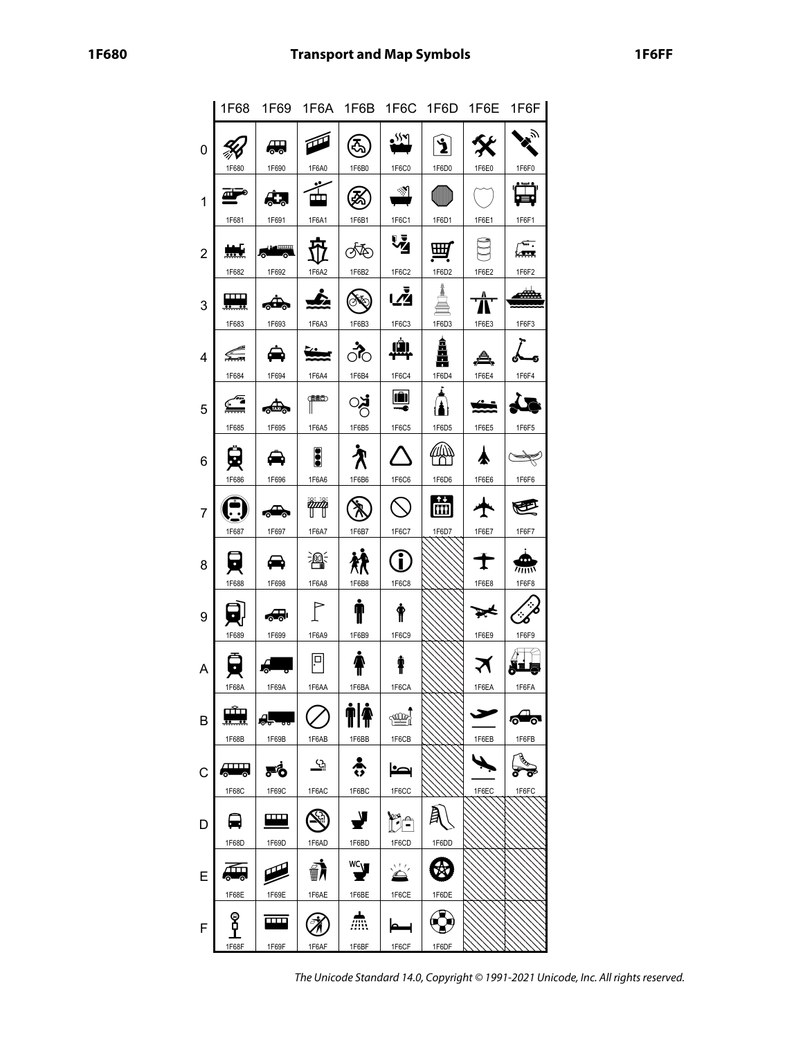|                | 1F68                |                                |                       |                                    |                        | 1F69 1F6A 1F6B 1F6C 1F6D | 1F6E  | 1F6F       |
|----------------|---------------------|--------------------------------|-----------------------|------------------------------------|------------------------|--------------------------|-------|------------|
| 0              | 1F680               | ₩,<br>1F690                    | 1F6A0                 | 3<br>1F6B0                         | لالاو<br>1F6C0         | ัััััั<br>1F6D0          | 1F6E0 | ベ<br>1F6F0 |
| 1              | 1F681               | 1F691                          | 1F6A1                 | 1F6B1                              | $\mathcal{A}$<br>1F6C1 | 1F6D1                    | 1F6E1 | 1F6F1      |
| $\overline{2}$ | 1F682               | $\frac{1}{2}$<br>1F692         | 1F6A2                 | ത്ത<br>1F6B2                       | 74<br>1F6C2            | ₩<br>1F6D2               | 1F6E2 | 1F6F2      |
| 3              | பா<br>1F683         | 1F693                          | 1F6A3                 | 1F6B3                              | اٍنِّی<br>1F6C3        | 1F6D3                    | 1F6E3 | æ<br>1F6F3 |
| 4              | 1F684               | 1F694                          | 1F6A4                 | ैं<br>1F6B4                        | ıâı<br>1F6C4           | å<br>E<br>1F6D4          | 1F6E4 | 1F6F4      |
| 5              | 1F685               | ⋘<br>1F695                     | $\mathbb{P}$<br>1F6A5 | 1F6B5                              | II I<br>1F6C5          | 1F6D5                    | 1F6E5 | 1F6F5      |
| 6              |                     |                                | å                     |                                    |                        |                          |       |            |
| $\overline{7}$ | 1F686               | 1F696                          | 1F6A6                 | 1F6B6                              | 1F6C6                  | 1F6D6<br>崗               | 1F6E6 | 1F6F6      |
| 8              | 1F687               | 1F697                          | 1F6A7<br>灣            | 1F6B7                              | 1F6C7<br>Î             | 1F6D7                    | 1F6E7 | 1F6F7<br>m |
| 9              | 1F688               | 1F698<br>₷                     | 1F6A8                 | 1F6B8                              | 1F6C8                  |                          | 1F6E8 | 1F6F8      |
| A              | 1F689               | 1F699                          | 1F6A9<br>ļп           | 1F6B9                              | 1F6C9<br>Ŧ             |                          | 1F6E9 | 1F6F9      |
| B              | 1F68A<br>ىتگە       | 1F69A<br>ĄĻ                    | 1F6AA                 | 1F6BA<br><b>ile</b>                | 1F6CA<br>্∰            |                          | 1F6EA | 1F6FA<br>௸ |
| $\mathsf C$    | 1F68B<br><u>лип</u> | 1F69B<br>Fб                    | 1F6AB<br><u>୍ର</u>    | 1F6BB<br>츣                         | 1F6CB<br>بدا           |                          | 1F6EB | 1F6FB      |
| D              | 1F68C               | 1F69C<br>$\mathbf{\mathbf{m}}$ | 1F6AC                 | 1F6BC<br>₹                         | 1F6CC<br>r,            |                          | 1F6EC | 1F6FC      |
| E              | 1F68D<br>₩,         | 1F69D                          | 1F6AD<br>∰∦           | 1F6BD<br>$\mathbf{v}^{\text{occ}}$ | 1F6CD<br>$\sum'$       | 1F6DD<br>3               |       |            |
|                | 1F68E<br>န          | 1F69E<br>Е                     | 1F6AE                 | 1F6BE<br>杰                         | 1F6CE                  | 1F6DE                    |       |            |
| F              | 1F68F               | 1F69F                          | 1F6AF                 | 1F6BF                              | 1F6CF                  | 1F6DF                    |       |            |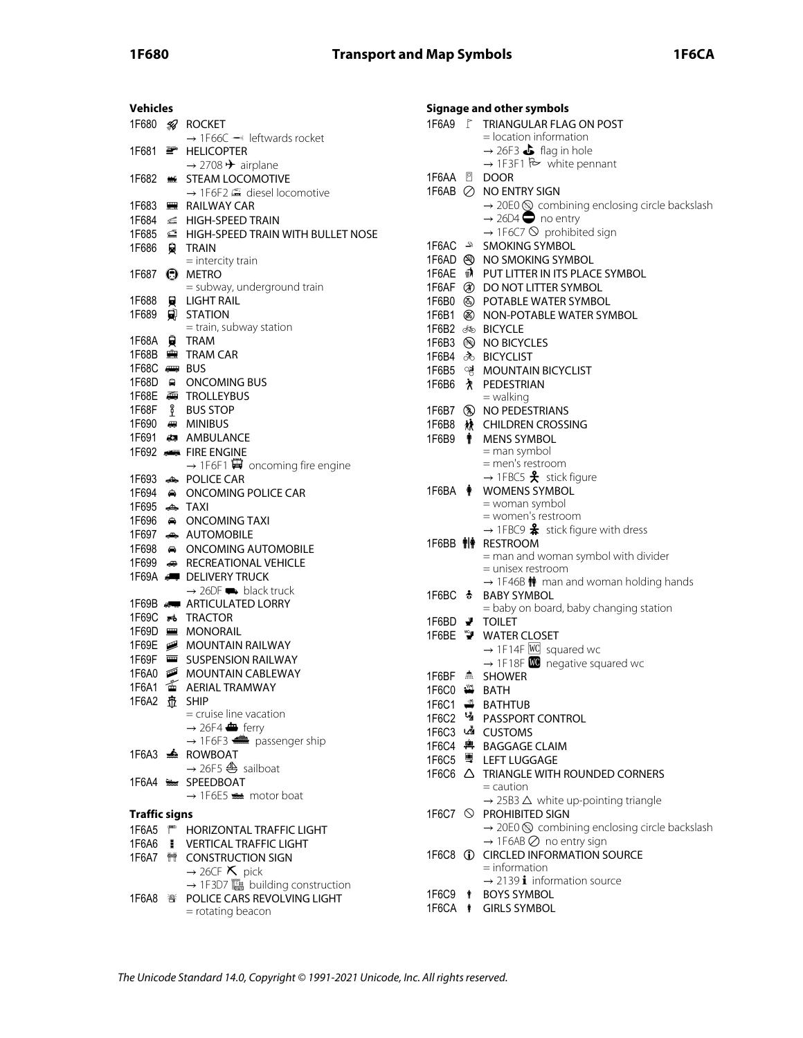| <b>Vehicles</b>      |                |                                                     |
|----------------------|----------------|-----------------------------------------------------|
| 1F680                | 58             | <b>ROCKET</b>                                       |
|                      |                | $\rightarrow$ 1F66C $\rightarrow$ leftwards rocket  |
| 1F681                | ਵਾ             | <b>HELICOPTER</b>                                   |
|                      |                | $\rightarrow$ 2708 $\rightarrow$ airplane           |
| 1F682                | 鰦              | <b>STEAM LOCOMOTIVE</b>                             |
|                      |                | → 1F6F2 全 diesel locomotive                         |
| 1F683                | 豐              | <b>RAILWAY CAR</b>                                  |
| 1F684                | ≤              | <b>HIGH-SPEED TRAIN</b>                             |
| 1F685 <b>⊆</b>       |                | HIGH-SPEED TRAIN WITH BULLET NOSE                   |
| 1F686                | 臭              | <b>TRAIN</b>                                        |
|                      |                | $=$ intercity train                                 |
| 1F687                | ُ⊖             | <b>METRO</b>                                        |
|                      |                | = subway, underground train                         |
| 1F688                | 員              | <b>LIGHT RAIL</b>                                   |
| 1F689                | 阒              | <b>STATION</b>                                      |
|                      |                | = train, subway station                             |
| 1F68A                | ₿              | <b>TRAM</b>                                         |
| 1F68B                | 寷              | <b>TRAM CAR</b>                                     |
| 1F68C                |                | $\leftarrow$ BUS                                    |
|                      |                | 1F68D A ONCOMING BUS                                |
|                      |                |                                                     |
|                      |                | <b>TROLLEYBUS</b>                                   |
| 1F68F                | L              | <b>BUS STOP</b>                                     |
| 1F690                |                | <b>READ MINIBUS</b>                                 |
|                      |                | 1F691 # AMBULANCE                                   |
|                      |                | 1F692 <b>Also FIRE ENGINE</b>                       |
|                      |                | $\rightarrow$ 1F6F1 $\ddot{H}$ oncoming fire engine |
| 1F693                |                | <b>POLICE CAR</b>                                   |
|                      |                | 1F694 A ONCOMING POLICE CAR                         |
| 1F695                | ر پیش          | <b>TAXI</b>                                         |
| 1F696                |                | A ONCOMING TAXI                                     |
| 1F697                |                | AUTOMOBILE                                          |
|                      |                | 1F698 A ONCOMING AUTOMOBILE                         |
|                      |                | 1F699 <b>BECREATIONAL VEHICLE</b>                   |
|                      |                | 1F69A <b>I</b> DELIVERY TRUCK                       |
|                      |                | $\rightarrow$ 26DF $\rightarrow$ black truck        |
|                      |                | 1F69B <a> ARTICULATED LORRY</a>                     |
| 1F69C                |                | <b>ுஃTRACTOR</b>                                    |
| 1F69D                |                | ■ MONORAIL                                          |
| 1F69E                |                | MOUNTAIN RAILWAY                                    |
| 1F69F                | $\blacksquare$ | <b>SUSPENSION RAILWAY</b>                           |
| 1F6A0                |                | MOUNTAIN CABLEWAY                                   |
| 1F6A1                | 畜              | <b>AERIAL TRAMWAY</b>                               |
| 1F6A2 壶 SHIP         |                |                                                     |
|                      |                | = cruise line vacation                              |
|                      |                | $\rightarrow$ 26F4 $\bullet$ ferry                  |
|                      |                | $\rightarrow$ 1F6F3 $\implies$ passenger ship       |
|                      |                | 1F6A3 <del>▲</del> ROWBOAT                          |
|                      |                | $\rightarrow$ 26F5 $\triangleq$ sailboat            |
|                      |                | 1F6A4 SPEEDBOAT                                     |
|                      |                | $\rightarrow$ 1F6E5 $\equiv$ motor boat             |
|                      |                |                                                     |
| <b>Traffic signs</b> |                |                                                     |
|                      |                | 1F6A5 <sup>#</sup> HORIZONTAL TRAFFIC LIGHT         |
|                      |                | 1F6A6   VERTICAL TRAFFIC LIGHT                      |
| 1F6A7                |                | <b>ME CONSTRUCTION SIGN</b>                         |
|                      |                | $\rightarrow$ 26CF $\times$ pick                    |
|                      |                |                                                     |
|                      |                |                                                     |
|                      |                | = rotating beacon                                   |
|                      |                |                                                     |

| Signage and other symbols              |                                                                     |  |  |  |  |  |
|----------------------------------------|---------------------------------------------------------------------|--|--|--|--|--|
|                                        | 1F6A9 F TRIANGULAR FLAG ON POST                                     |  |  |  |  |  |
|                                        | $=$ location information                                            |  |  |  |  |  |
|                                        | $\rightarrow$ 26F3 $\bullet$ flag in hole                           |  |  |  |  |  |
|                                        | $\rightarrow$ 1F3F1 $\approx$ white pennant                         |  |  |  |  |  |
|                                        |                                                                     |  |  |  |  |  |
|                                        | 1F6AB ⊘ NO ENTRY SIGN                                               |  |  |  |  |  |
|                                        | $\rightarrow$ 20E0 $\circledS$ combining enclosing circle backslash |  |  |  |  |  |
|                                        | $\rightarrow$ 26D4 $\rightarrow$ no entry                           |  |  |  |  |  |
|                                        | $\rightarrow$ 1F6C7 $\odot$ prohibited sign                         |  |  |  |  |  |
|                                        | <b>SMOKING SYMBOL</b>                                               |  |  |  |  |  |
|                                        | 1F6AD @ NO SMOKING SYMBOL                                           |  |  |  |  |  |
|                                        | 1F6AE n PUT LITTER IN ITS PLACE SYMBOL                              |  |  |  |  |  |
|                                        | 1F6AF @ DO NOT LITTER SYMBOL                                        |  |  |  |  |  |
| 1F6B1 <sup>3</sup>                     | 1F6B0 & POTABLE WATER SYMBOL<br>NON-POTABLE WATER SYMBOL            |  |  |  |  |  |
| 1F6B2 do BICYCLE                       |                                                                     |  |  |  |  |  |
|                                        | 1F6B3 & NO BICYCLES                                                 |  |  |  |  |  |
|                                        | 1F6B4 ふ BICYCLIST                                                   |  |  |  |  |  |
| 1F6B5 영                                | <b>MOUNTAIN BICYCLIST</b>                                           |  |  |  |  |  |
|                                        | 1F6B6 & PEDESTRIAN                                                  |  |  |  |  |  |
|                                        | $=$ walking                                                         |  |  |  |  |  |
|                                        | 1F6B7 (%) NO PEDESTRIANS                                            |  |  |  |  |  |
| 1F6B8                                  | <b>林 CHILDREN CROSSING</b>                                          |  |  |  |  |  |
| 1F6B9 ¶                                | <b>MENS SYMBOL</b>                                                  |  |  |  |  |  |
|                                        | = man symbol                                                        |  |  |  |  |  |
|                                        | = men's restroom                                                    |  |  |  |  |  |
|                                        | $\rightarrow$ 1FBC5 $\clubsuit$ stick figure                        |  |  |  |  |  |
|                                        | 1F6BA $\bullet$ WOMENS SYMBOL                                       |  |  |  |  |  |
|                                        | = woman symbol<br>= women's restroom                                |  |  |  |  |  |
|                                        | $\rightarrow$ 1FBC9 $\clubsuit$ stick figure with dress             |  |  |  |  |  |
|                                        | 1F6BB <sup>†</sup> RESTROOM                                         |  |  |  |  |  |
|                                        | = man and woman symbol with divider                                 |  |  |  |  |  |
|                                        | = unisex restroom                                                   |  |  |  |  |  |
|                                        | $\rightarrow$ 1F46B $\dot{\mathbf{M}}$ man and woman holding hands  |  |  |  |  |  |
| $1F6BC$ $\clubsuit$                    | <b>BABY SYMBOL</b>                                                  |  |  |  |  |  |
|                                        | = baby on board, baby changing station                              |  |  |  |  |  |
| 1F6BD $\blacktriangleright$<br>1F6BE ™ | <b>TOILET</b><br><b>WATER CLOSET</b>                                |  |  |  |  |  |
|                                        | $\rightarrow$ 1F14F WC squared wc                                   |  |  |  |  |  |
|                                        | $\rightarrow$ 1F18F <b>W</b> negative squared wc                    |  |  |  |  |  |
| 1F6BF 点                                | <b>SHOWER</b>                                                       |  |  |  |  |  |
| 1F6C0 当                                | <b>BATH</b>                                                         |  |  |  |  |  |
| 1F6C1 <del>■</del>                     | <b>BATHTUB</b>                                                      |  |  |  |  |  |
| 1F6C2 M                                | PASSPORT CONTROL                                                    |  |  |  |  |  |
| 1F6C3 ∟Ž∎                              | <b>CUSTOMS</b>                                                      |  |  |  |  |  |
| 1F6C4 <b>啤</b>                         | <b>BAGGAGE CLAIM</b>                                                |  |  |  |  |  |
| 1F6C5 粵                                | <b>LEFT LUGGAGE</b>                                                 |  |  |  |  |  |
| 1F6C6 △                                | TRIANGLE WITH ROUNDED CORNERS                                       |  |  |  |  |  |
|                                        | $=$ caution                                                         |  |  |  |  |  |
|                                        | $\rightarrow$ 25B3 $\Delta$ white up-pointing triangle              |  |  |  |  |  |
|                                        | 1F6C7 © PROHIBITED SIGN                                             |  |  |  |  |  |
|                                        | $\rightarrow$ 20E0 $\otimes$ combining enclosing circle backslash   |  |  |  |  |  |
|                                        | $\rightarrow$ 1F6AB $\oslash$ no entry sign                         |  |  |  |  |  |
| 1F6C8 ①                                | <b>CIRCLED INFORMATION SOURCE</b><br>$=$ information                |  |  |  |  |  |
|                                        | $\rightarrow$ 2139 <b>i</b> information source                      |  |  |  |  |  |
|                                        | 1F6C9 $\textcolor{blue}{\uparrow}$ BOYS SYMBOL                      |  |  |  |  |  |
| 1F6CA <b>ŧ</b>                         | <b>GIRLS SYMBOL</b>                                                 |  |  |  |  |  |